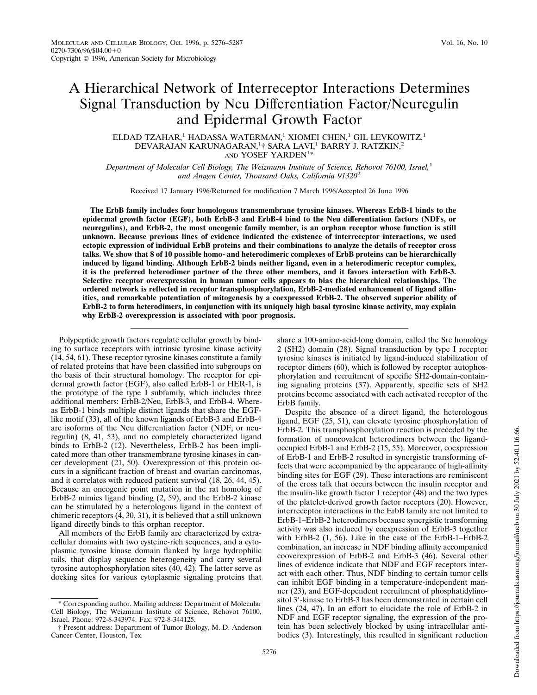# A Hierarchical Network of Interreceptor Interactions Determines Signal Transduction by Neu Differentiation Factor/Neuregulin and Epidermal Growth Factor

ELDAD TZAHAR,<sup>1</sup> HADASSA WATERMAN,<sup>1</sup> XIOMEI CHEN,<sup>1</sup> GIL LEVKOWITZ,<sup>1</sup> DEVARAJAN KARUNAGARAN,<sup>1</sup>† SARA LAVI,<sup>1</sup> BARRY J. RATZKIN,<sup>2</sup> AND YOSEF YARDEN<sup>1\*</sup>

*Department of Molecular Cell Biology, The Weizmann Institute of Science, Rehovot 76100, Israel,*<sup>1</sup> *and Amgen Center, Thousand Oaks, California 91320*<sup>2</sup>

Received 17 January 1996/Returned for modification 7 March 1996/Accepted 26 June 1996

**The ErbB family includes four homologous transmembrane tyrosine kinases. Whereas ErbB-1 binds to the epidermal growth factor (EGF), both ErbB-3 and ErbB-4 bind to the Neu differentiation factors (NDFs, or neuregulins), and ErbB-2, the most oncogenic family member, is an orphan receptor whose function is still unknown. Because previous lines of evidence indicated the existence of interreceptor interactions, we used ectopic expression of individual ErbB proteins and their combinations to analyze the details of receptor cross talks. We show that 8 of 10 possible homo- and heterodimeric complexes of ErbB proteins can be hierarchically induced by ligand binding. Although ErbB-2 binds neither ligand, even in a heterodimeric receptor complex, it is the preferred heterodimer partner of the three other members, and it favors interaction with ErbB-3. Selective receptor overexpression in human tumor cells appears to bias the hierarchical relationships. The ordered network is reflected in receptor transphosphorylation, ErbB-2-mediated enhancement of ligand affinities, and remarkable potentiation of mitogenesis by a coexpressed ErbB-2. The observed superior ability of ErbB-2 to form heterodimers, in conjunction with its uniquely high basal tyrosine kinase activity, may explain why ErbB-2 overexpression is associated with poor prognosis.**

Polypeptide growth factors regulate cellular growth by binding to surface receptors with intrinsic tyrosine kinase activity (14, 54, 61). These receptor tyrosine kinases constitute a family of related proteins that have been classified into subgroups on the basis of their structural homology. The receptor for epidermal growth factor (EGF), also called ErbB-1 or HER-1, is the prototype of the type I subfamily, which includes three additional members: ErbB-2/Neu, ErbB-3, and ErbB-4. Whereas ErbB-1 binds multiple distinct ligands that share the EGFlike motif (33), all of the known ligands of ErbB-3 and ErbB-4 are isoforms of the Neu differentiation factor (NDF, or neuregulin) (8, 41, 53), and no completely characterized ligand binds to ErbB-2 (12). Nevertheless, ErbB-2 has been implicated more than other transmembrane tyrosine kinases in cancer development (21, 50). Overexpression of this protein occurs in a significant fraction of breast and ovarian carcinomas, and it correlates with reduced patient survival (18, 26, 44, 45). Because an oncogenic point mutation in the rat homolog of ErbB-2 mimics ligand binding (2, 59), and the ErbB-2 kinase can be stimulated by a heterologous ligand in the context of chimeric receptors (4, 30, 31), it is believed that a still unknown ligand directly binds to this orphan receptor.

All members of the ErbB family are characterized by extracellular domains with two cysteine-rich sequences, and a cytoplasmic tyrosine kinase domain flanked by large hydrophilic tails, that display sequence heterogeneity and carry several tyrosine autophosphorylation sites  $(40, 42)$ . The latter serve as docking sites for various cytoplasmic signaling proteins that share a 100-amino-acid-long domain, called the Src homology 2 (SH2) domain (28). Signal transduction by type I receptor tyrosine kinases is initiated by ligand-induced stabilization of receptor dimers (60), which is followed by receptor autophosphorylation and recruitment of specific SH2-domain-containing signaling proteins (37). Apparently, specific sets of SH2 proteins become associated with each activated receptor of the ErbB family.

Despite the absence of a direct ligand, the heterologous ligand, EGF (25, 51), can elevate tyrosine phosphorylation of ErbB-2. This transphosphorylation reaction is preceded by the formation of noncovalent heterodimers between the ligandoccupied ErbB-1 and ErbB-2 (15, 55). Moreover, coexpression of ErbB-1 and ErbB-2 resulted in synergistic transforming effects that were accompanied by the appearance of high-affinity binding sites for EGF (29). These interactions are reminiscent of the cross talk that occurs between the insulin receptor and the insulin-like growth factor 1 receptor (48) and the two types of the platelet-derived growth factor receptors (20). However, interreceptor interactions in the ErbB family are not limited to ErbB-1–ErbB-2 heterodimers because synergistic transforming activity was also induced by coexpression of ErbB-3 together with ErbB-2 (1, 56). Like in the case of the ErbB-1–ErbB-2 combination, an increase in NDF binding affinity accompanied cooverexpression of ErbB-2 and ErbB-3 (46). Several other lines of evidence indicate that NDF and EGF receptors interact with each other. Thus, NDF binding to certain tumor cells can inhibit EGF binding in a temperature-independent manner (23), and EGF-dependent recruitment of phosphatidylinositol 3'-kinase to ErbB-3 has been demonstrated in certain cell lines (24, 47). In an effort to elucidate the role of ErbB-2 in NDF and EGF receptor signaling, the expression of the protein has been selectively blocked by using intracellular antibodies (3). Interestingly, this resulted in significant reduction

<sup>\*</sup> Corresponding author. Mailing address: Department of Molecular Cell Biology, The Weizmann Institute of Science, Rehovot 76100, Israel. Phone: 972-8-343974. Fax: 972-8-344125.

<sup>†</sup> Present address: Department of Tumor Biology, M. D. Anderson Cancer Center, Houston, Tex.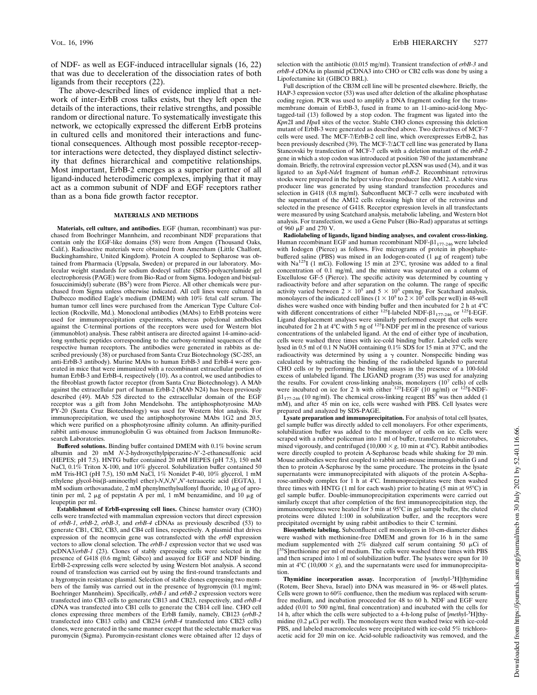of NDF- as well as EGF-induced intracellular signals (16, 22) that was due to deceleration of the dissociation rates of both ligands from their receptors (22).

The above-described lines of evidence implied that a network of inter-ErbB cross talks exists, but they left open the details of the interactions, their relative strengths, and possible random or directional nature. To systematically investigate this network, we ectopically expressed the different ErbB proteins in cultured cells and monitored their interactions and functional consequences. Although most possible receptor-receptor interactions were detected, they displayed distinct selectivity that defines hierarchical and competitive relationships. Most important, ErbB-2 emerges as a superior partner of all ligand-induced heterodimeric complexes, implying that it may act as a common subunit of NDF and EGF receptors rather than as a bona fide growth factor receptor.

## **MATERIALS AND METHODS**

**Materials, cell culture, and antibodies.** EGF (human, recombinant) was purchased from Boehringer Mannheim, and recombinant NDF preparations that contain only the EGF-like domains (58) were from Amgen (Thousand Oaks, Calif.). Radioactive materials were obtained from Amersham (Little Chalfont, Buckinghamshire, United Kingdom). Protein A coupled to Sepharose was obtained from Pharmacia (Uppsala, Sweden) or prepared in our laboratory. Molecular weight standards for sodium dodecyl sulfate (SDS)-polyacrylamide gel electrophoresis (PAGE) were from Bio-Rad or from Sigma. Iodogen and bis(sulfosuccinimidyl) suberate (BS<sup>3</sup>) were from Pierce. All other chemicals were purchased from Sigma unless otherwise indicated. All cell lines were cultured in Dulbecco modified Eagle's medium (DMEM) with 10% fetal calf serum. The human tumor cell lines were purchased from the American Type Culture Collection (Rockville, Md.). Monoclonal antibodies (MAbs) to ErbB proteins were used for immunoprecipitation experiments, whereas polyclonal antibodies against the C-terminal portions of the receptors were used for Western blot (immunoblot) analysis. These rabbit antisera are directed against 14-amino-acidlong synthetic peptides corresponding to the carboxy-terminal sequences of the respective human receptors. The antibodies were generated in rabbits as described previously (38) or purchased from Santa Cruz Biotechnology (SC-285, an anti-ErbB-3 antibody). Murine MAbs to human ErbB-3 and ErbB-4 were generated in mice that were immunized with a recombinant extracellular portion of human ErbB-3 and ErbB-4, respectively (10). As a control, we used antibodies to the fibroblast growth factor receptor (from Santa Cruz Biotechnology). A MAb against the extracellular part of human ErbB-2 (MAb N24) has been previously described (49). MAb 528 directed to the extracellular domain of the EGF receptor was a gift from John Mendelsohn. The antiphosphotyrosine MAb PY-20 (Santa Cruz Biotechnology) was used for Western blot analysis. For immunoprecipitation, we used the antiphosphotyrosine MAbs 1G2 and 20.5, which were purified on a phosphotyrosine affinity column. An affinity-purified rabbit anti-mouse immunoglobulin G was obtained from Jackson ImmunoResearch Laboratories.

**Buffered solutions.** Binding buffer contained DMEM with 0.1% bovine serum albumin and 20 mM *N*-2-hydroxyethylpiperazine-*N'*-2-ethanesulfonic acid (HEPES; pH 7.5). HNTG buffer contained 20 mM HEPES (pH 7.5), 150 mM NaCl, 0.1% Triton X-100, and 10% glycerol. Solubilization buffer contained 50 mM Tris-HCl (pH 7.5), 150 mM NaCl, 1% Nonidet P-40, 10% glycerol, 1 mM ethylene glycol-bis(β-aminoethyl ether)-*N*,*N*,*N'*,*N'*-tetraacetic acid (EGTA), 1 mM sodium orthovanadate, 2 mM phenylmethylsulfonyl fluoride, 10 µg of aprotinin per ml, 2  $\mu$ g of pepstatin A per ml, 1 mM benzamidine, and 10  $\mu$ g of leupeptin per ml.

**Establishment of ErbB-expressing cell lines.** Chinese hamster ovary (CHO) cells were transfected with mammalian expression vectors that direct expression of *erbB-1*, *erbB-2*, *erbB-3*, and *erbB-4* cDNAs as previously described (53) to generate CB1, CB2, CB3, and CB4 cell lines, respectively. A plasmid that drives expression of the neomycin gene was cotransfected with the *erbB* expression vectors to allow clonal selection. The *erbB-1* expression vector that we used was pcDNA3/*erbB-1* (23). Clones of stably expressing cells were selected in the presence of G418 (0.6 mg/ml; Gibco) and assayed for EGF and NDF binding. ErbB-2-expressing cells were selected by using Western blot analysis. A second round of transfection was carried out by using the first-round transfectants and a hygromycin resistance plasmid. Selection of stable clones expressing two members of the family was carried out in the presence of hygromycin (0.1 mg/ml; Boehringer Mannheim). Specifically, *erbB-1* and *erbB-2* expression vectors were transfected into CB3 cells to generate CB13 and CB23, respectively, and *erbB-4* cDNA was transfected into CB1 cells to generate the CB14 cell line. CHO cell clones expressing three members of the ErbB family, namely, CB123 (*erbB-2* transfected into CB13 cells) and CB234 (*erbB-4* transfected into CB23 cells) clones, were generated in the same manner except that the selectable marker was puromycin (Sigma). Puromycin-resistant clones were obtained after 12 days of selection with the antibiotic (0.015 mg/ml). Transient transfection of *erbB-3* and *erbB-4* cDNAs in plasmid pCDNA3 into CHO or CB2 cells was done by using a Lipofectamine kit (GIBCO BRL).

Full description of the CB3M cell line will be presented elsewhere. Briefly, the HAP-3 expression vector (53) was used after deletion of the alkaline phosphatase coding region. PCR was used to amplify a DNA fragment coding for the transmembrane domain of ErbB-3, fused in frame to an 11-amino-acid-long Myctagged-tail (13) followed by a stop codon. The fragment was ligated into the *Kpn*2I and *Hpa*I sites of the vector. Stable CHO clones expressing this deletion mutant of ErbB-3 were generated as described above. Two derivatives of MCF-7 cells were used. The MCF-7/ErbB-2 cell line, which overexpresses ErbB-2, has been previously described (39). The MCF-7/ $\Delta$ CT cell line was generated by Ilana Stancovski by transfection of MCF-7 cells with a deletion mutant of the *erbB-2* gene in which a stop codon was introduced at position 780 of the juxtamembrane domain. Briefly, the retroviral expression vector pLXSN was used (34), and it was ligated to an *Ssp*I-*Nde*I fragment of human *erbB-2*. Recombinant retrovirus stocks were prepared in the helper virus-free producer line AM12. A stable virus producer line was generated by using standard transfection procedures and selection in G418 (0.8 mg/ml). Subconfluent MCF-7 cells were incubated with the supernatant of the AM12 cells releasing high titer of the retrovirus and selected in the presence of G418. Receptor expression levels in all transfectants were measured by using Scatchard analysis, metabolic labeling, and Western blot analysis. For transfection, we used a Gene Pulser (Bio-Rad) apparatus at settings of 960 mF and 270 V.

**Radiolabeling of ligands, ligand binding analyses, and covalent cross-linking.** Human recombinant EGF and human recombinant NDF- $\beta1_{177-246}$  were labeled with Iodogen (Pierce) as follows. Five micrograms of protein in phosphatebuffered saline (PBS) was mixed in an Iodogen-coated  $(1 \mu g)$  of reagent) tube with Na<sup>125</sup>I (1 mCi). Following 15 min at 23°C, tyrosine was added to a final concentration of 0.1 mg/ml, and the mixture was separated on a column of Excellulose GF-5 (Pierce). The specific activity was determined by counting  $\gamma$ radioactivity before and after separation on the column. The range of specific activity varied between  $2 \times 10^5$  and  $5 \times 10^5$  cpm/ng. For Scatchard analysis, monolayers of the indicated cell lines ( $1 \times 10^5$  to  $2 \times 10^5$  cells per well) in 48-well dishes were washed once with binding buffer and then incubated for 2 h at 4<sup>o</sup>C with different concentrations of either <sup>125</sup>I-labeled NDF- $\beta1_{177-246}$  or <sup>125</sup>I-EGF. Ligand displacement analyses were similarly performed except that cells were incubated for 2 h at  $4^{\circ}$ C with 5 ng of  $^{125}$ I-NDF per ml in the presence of various concentrations of the unlabeled ligand. At the end of either type of incubation, cells were washed three times with ice-cold binding buffer. Labeled cells were lysed in 0.5 ml of 0.1 N NaOH containing 0.1% SDS for 15 min at 37°C, and the radioactivity was determined by using a  $\gamma$  counter. Nonspecific binding was calculated by subtracting the binding of the radiolabeled ligands to parental CHO cells or by performing the binding assays in the presence of a 100-fold excess of unlabeled ligand. The LIGAND program (35) was used for analyzing the results. For covalent cross-linking analysis, monolayers  $(10^7 \text{ cells})$  of cells were incubated on ice for 2 h with either  $^{125}I\text{-}IGF$  (10 ng/ml) or  $^{125}I\text{-}NDF\text{-}$  $\beta1_{177\cdot246}$  (10 ng/ml). The chemical cross-linking reagent BS<sup>3</sup> was then added (1 mM), and after 45 min on ice, cells were washed with PBS. Cell lysates were prepared and analyzed by SDS-PAGE.

**Lysate preparation and immunoprecipitation.** For analysis of total cell lysates, gel sample buffer was directly added to cell monolayers. For other experiments, solubilization buffer was added to the monolayer of cells on ice. Cells were scraped with a rubber policeman into 1 ml of buffer, transferred to microtubes, mixed vigorously, and centrifuged  $(10,000 \times g, 10 \text{ min at } 4^{\circ}\text{C})$ . Rabbit antibodies were directly coupled to protein A-Sepharose beads while shaking for 20 min. Mouse antibodies were first coupled to rabbit anti-mouse immunoglobulin G and then to protein A-Sepharose by the same procedure. The proteins in the lysate supernatants were immunoprecipitated with aliquots of the protein A-Sepharose-antibody complex for 1 h at 4°C. Immunoprecipitates were then washed three times with HNTG (1 ml for each wash) prior to heating (5 min at  $95^{\circ}$ C) in gel sample buffer. Double-immunoprecipitation experiments were carried out similarly except that after completion of the first immunoprecipitation step, the immunocomplexes were heated for 5 min at 95°C in gel sample buffer, the eluted proteins were diluted 1:100 in solubilization buffer, and the receptors were precipitated overnight by using rabbit antibodies to their C termini.

**Biosynthetic labeling.** Subconfluent cell monolayers in 10-cm-diameter dishes were washed with methionine-free DMEM and grown for 16 h in the same medium supplemented with 2% dialyzed calf serum containing 50  $\mu$ Ci of [<sup>35</sup>S]methionine per ml of medium. The cells were washed three times with PBS<br>and then scraped into 1 ml of solubilization buffer. The lysates were spun for 10 <sup>5</sup>S]methionine per ml of medium. The cells were washed three times with PBS min at  $4^{\circ}C$  (10,000  $\times$  g), and the supernatants were used for immunoprecipitation.

**Thymidine incorporation assay.** Incorporation of [*methy*l-3H]thymidine (Rotem, Beer Sheva, Israel) into DNA was measured in 96- or 48-well plates. Cells were grown to 60% confluence, then the medium was replaced with serumfree medium, and incubation proceeded for 48 to 60 h. NDF and EGF were added (0.01 to 500 ng/ml, final concentration) and incubated with the cells for 14 h, after which the cells were subjected to a 4-h-long pulse of [*methy*l-3H]thymidine ( $0.2 \mu$ Ci per well). The monolayers were then washed twice with ice-cold PBS, and labeled macromolecules were precipitated with ice-cold 5% trichloroacetic acid for 20 min on ice. Acid-soluble radioactivity was removed, and the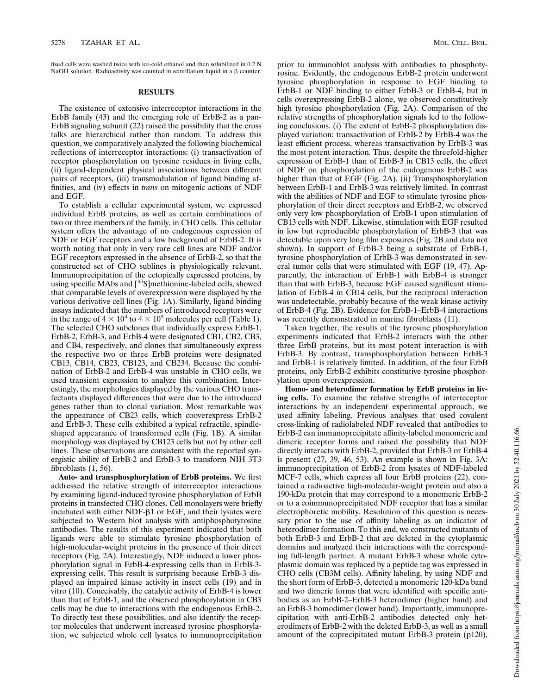fixed cells were washed twice with ice-cold ethanol and then solubilized in 0.2 N NaOH solution. Radioactivity was counted in scintillation liquid in a  $\beta$  counter.

## **RESULTS**

The existence of extensive interreceptor interactions in the ErbB family (43) and the emerging role of ErbB-2 as a pan-ErbB signaling subunit (22) raised the possibility that the cross talks are hierarchical rather than random. To address this question, we comparatively analyzed the following biochemical reflections of interreceptor interactions: (i) transactivation of receptor phosphorylation on tyrosine residues in living cells, (ii) ligand-dependent physical associations between different pairs of receptors, (iii) transmodulation of ligand binding affinities, and (iv) effects in *trans* on mitogenic actions of NDF and EGF.

To establish a cellular experimental system, we expressed individual ErbB proteins, as well as certain combinations of two or three members of the family, in CHO cells. This cellular system offers the advantage of no endogenous expression of NDF or EGF receptors and a low background of ErbB-2. It is worth noting that only in very rare cell lines are NDF and/or EGF receptors expressed in the absence of ErbB-2, so that the constructed set of CHO sublines is physiologically relevant. Immunoprecipitation of the ectopically expressed proteins, by using specific MAbs and [<sup>35</sup>S]methionine-labeled cells, showed that comparable levels of overexpression were displayed by the various derivative cell lines (Fig. 1A). Similarly, ligand binding assays indicated that the numbers of introduced receptors were in the range of  $4 \times 10^4$  to  $4 \times 10^5$  molecules per cell (Table 1). The selected CHO subclones that individually express ErbB-1, ErbB-2, ErbB-3, and ErbB-4 were designated CB1, CB2, CB3, and CB4, respectively, and clones that simultaneously express the respective two or three ErbB proteins were designated CB13, CB14, CB23, CB123, and CB234. Because the combination of ErbB-2 and ErbB-4 was unstable in CHO cells, we used transient expression to analyze this combination. Interestingly, the morphologies displayed by the various CHO transfectants displayed differences that were due to the introduced genes rather than to clonal variation. Most remarkable was the appearance of CB23 cells, which cooverexpress ErbB-2 and ErbB-3. These cells exhibited a typical refractile, spindleshaped appearance of transformed cells (Fig. 1B). A similar morphology was displayed by CB123 cells but not by other cell lines. These observations are consistent with the reported synergistic ability of ErbB-2 and ErbB-3 to transform NIH 3T3 fibroblasts (1, 56).

**Auto- and transphosphorylation of ErbB proteins.** We first addressed the relative strength of interreceptor interactions by examining ligand-induced tyrosine phosphorylation of ErbB proteins in transfected CHO clones. Cell monolayers were briefly incubated with either NDF- $\beta$ 1 or EGF, and their lysates were subjected to Western blot analysis with antiphosphotyrosine antibodies. The results of this experiment indicated that both ligands were able to stimulate tyrosine phosphorylation of high-molecular-weight proteins in the presence of their direct receptors (Fig. 2A). Interestingly, NDF induced a lower phosphorylation signal in ErbB-4-expressing cells than in ErbB-3 expressing cells. This result is surprising because ErbB-3 displayed an impaired kinase activity in insect cells (19) and in vitro (10). Conceivably, the catalytic activity of ErbB-4 is lower than that of ErbB-1, and the observed phosphorylation in CB3 cells may be due to interactions with the endogenous ErbB-2. To directly test these possibilities, and also identify the receptor molecules that underwent increased tyrosine phosphorylation, we subjected whole cell lysates to immunoprecipitation

prior to immunoblot analysis with antibodies to phosphotyrosine. Evidently, the endogenous ErbB-2 protein underwent tyrosine phosphorylation in response to EGF binding to ErbB-1 or NDF binding to either ErbB-3 or ErbB-4, but in cells overexpressing ErbB-2 alone, we observed constitutively high tyrosine phosphorylation (Fig. 2A). Comparison of the relative strengths of phosphorylation signals led to the following conclusions. (i) The extent of ErbB-2 phosphorylation displayed variation: transactivation of ErbB-2 by ErbB-4 was the least efficient process, whereas transactivation by ErbB-3 was the most potent interaction. Thus, despite the threefold-higher expression of ErbB-1 than of ErbB-3 in CB13 cells, the effect of NDF on phosphorylation of the endogenous ErbB-2 was higher than that of EGF (Fig. 2A). (ii) Transphosphorylation between ErbB-1 and ErbB-3 was relatively limited. In contrast with the abilities of NDF and EGF to stimulate tyrosine phosphorylation of their direct receptors and ErbB-2, we observed only very low phosphorylation of ErbB-1 upon stimulation of CB13 cells with NDF. Likewise, stimulation with EGF resulted in low but reproducible phosphorylation of ErbB-3 that was detectable upon very long film exposures (Fig. 2B and data not shown). In support of ErbB-3 being a substrate of ErbB-1, tyrosine phosphorylation of ErbB-3 was demonstrated in several tumor cells that were stimulated with EGF (19, 47). Apparently, the interaction of ErbB-1 with ErbB-4 is stronger than that with ErbB-3, because EGF caused significant stimulation of ErbB-4 in CB14 cells, but the reciprocal interaction was undetectable, probably because of the weak kinase activity of ErbB-4 (Fig. 2B). Evidence for ErbB-1–ErbB-4 interactions was recently demonstrated in murine fibroblasts (11).

Taken together, the results of the tyrosine phosphorylation experiments indicated that ErbB-2 interacts with the other three ErbB proteins, but its most potent interaction is with ErbB-3. By contrast, transphosphorylation between ErbB-3 and ErbB-1 is relatively limited. In addition, of the four ErbB proteins, only ErbB-2 exhibits constitutive tyrosine phosphorylation upon overexpression.

**Homo- and heterodimer formation by ErbB proteins in living cells.** To examine the relative strengths of interreceptor interactions by an independent experimental approach, we used affinity labeling. Previous analyses that used covalent cross-linking of radiolabeled NDF revealed that antibodies to ErbB-2 can immunoprecipitate affinity-labeled monomeric and dimeric receptor forms and raised the possibility that NDF directly interacts with ErbB-2, provided that ErbB-3 or ErbB-4 is present (27, 39, 46, 53). An example is shown in Fig. 3A: immunoprecipitation of ErbB-2 from lysates of NDF-labeled MCF-7 cells, which express all four ErbB proteins (22), contained a radioactive high-molecular-weight protein and also a 190-kDa protein that may correspond to a monomeric ErbB-2 or to a coimmunoprecipitated NDF receptor that has a similar electrophoretic mobility. Resolution of this question is necessary prior to the use of affinity labeling as an indicator of heterodimer formation. To this end, we constructed mutants of both ErbB-3 and ErbB-2 that are deleted in the cytoplasmic domains and analyzed their interactions with the corresponding full-length partner. A mutant ErbB-3 whose whole cytoplasmic domain was replaced by a peptide tag was expressed in CHO cells (CB3M cells). Affinity labeling, by using NDF and the short form of ErbB-3, detected a monomeric 120-kDa band and two dimeric forms that were identified with specific antibodies as an ErbB-2–ErbB-3 heterodimer (higher band) and an ErbB-3 homodimer (lower band). Importantly, immunoprecipitation with anti-ErbB-2 antibodies detected only heterodimers of ErbB-2 with the deleted ErbB-3, as well as a small amount of the coprecipitated mutant ErbB-3 protein (p120),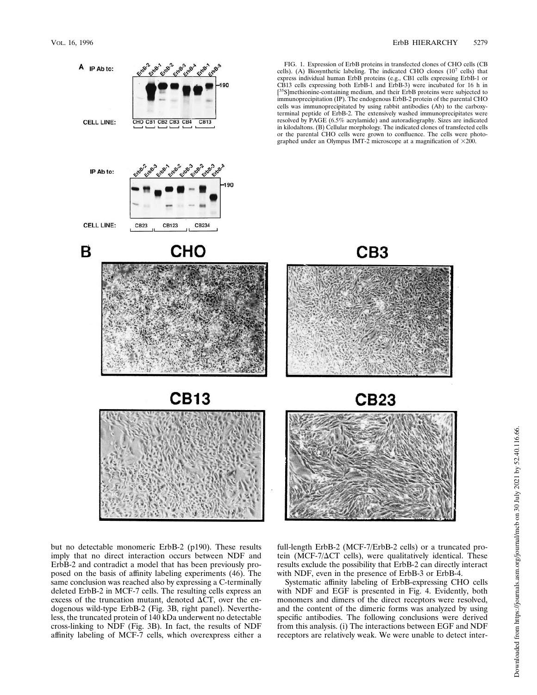A IP Ab to:

Eitos & Eitos Eitos Eitos & Eitos Eitos

FIG. 1. Expression of ErbB proteins in transfected clones of CHO cells (CB cells). (A) Biosynthetic labeling. The indicated CHO clones  $(10^7 \text{ cells})$  that express individual human ErbB proteins (e.g., CB1 cells expressing ErbB-1 or CB13 cells expressing both ErbB-1 and ErbB-3) were incubated for 16 h in [ <sup>5</sup>S]methionine-containing medium, and their ErbB proteins were subjected to immunoprecipitation (IP). The endogenous ErbB-2 protein of the parental CHO cells was immunoprecipitated by using rabbit antibodies (Ab) to the carboxyterminal peptide of ErbB-2. The extensively washed immunoprecipitates were resolved by PAGE (6.5% acrylamide) and autoradiography. Sizes are indicated in kilodaltons. (B) Cellular morphology. The indicated clones of transfected cells or the parental CHO cells were grown to confluence. The cells were photo-graphed under an Olympus IMT-2 microscope at a magnification of 3200.



but no detectable monomeric ErbB-2 (p190). These results imply that no direct interaction occurs between NDF and ErbB-2 and contradict a model that has been previously proposed on the basis of affinity labeling experiments (46). The same conclusion was reached also by expressing a C-terminally deleted ErbB-2 in MCF-7 cells. The resulting cells express an excess of the truncation mutant, denoted  $\Delta CT$ , over the endogenous wild-type ErbB-2 (Fig. 3B, right panel). Nevertheless, the truncated protein of 140 kDa underwent no detectable cross-linking to NDF (Fig. 3B). In fact, the results of NDF affinity labeling of MCF-7 cells, which overexpress either a full-length ErbB-2 (MCF-7/ErbB-2 cells) or a truncated protein (MCF-7/ $\Delta$ CT cells), were qualitatively identical. These results exclude the possibility that ErbB-2 can directly interact with NDF, even in the presence of ErbB-3 or ErbB-4.

Systematic affinity labeling of ErbB-expressing CHO cells with NDF and EGF is presented in Fig. 4. Evidently, both monomers and dimers of the direct receptors were resolved, and the content of the dimeric forms was analyzed by using specific antibodies. The following conclusions were derived from this analysis. (i) The interactions between EGF and NDF receptors are relatively weak. We were unable to detect inter-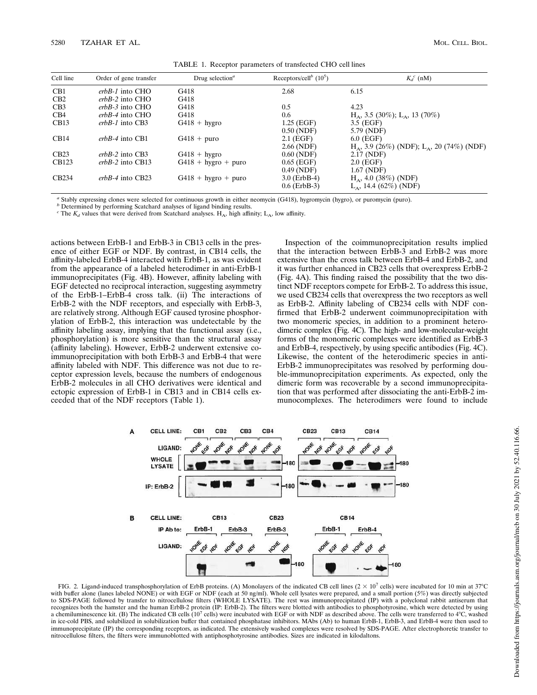| Cell line         | Order of gene transfer | Drug selection <sup><math>a</math></sup> | Receptors/cell <sup>b</sup> (10 <sup>5</sup> ) | $K_d^c$ (nM)                                             |
|-------------------|------------------------|------------------------------------------|------------------------------------------------|----------------------------------------------------------|
| CB <sub>1</sub>   | $erbB-1$ into CHO      | G418                                     | 2.68                                           | 6.15                                                     |
| CB <sub>2</sub>   | $erbB-2$ into CHO      | G418                                     |                                                |                                                          |
| CB3               | $erbB-3$ into CHO      | G418                                     | 0.5                                            | 4.23                                                     |
| CB <sub>4</sub>   | $erbB-4$ into CHO      | G418                                     | 0.6                                            | $H_A$ , 3.5 (30%); L <sub>A</sub> , 13 (70%)             |
| CB13              | $erbB-1$ into CB3      | $G418 + hygro$                           | $1.25$ (EGF)                                   | $3.5$ (EGF)                                              |
|                   |                        |                                          | $0.50$ (NDF)                                   | 5.79 (NDF)                                               |
| CB14              | $erbB-4$ into CB1      | $G418 + puro$                            | $2.1$ (EGF)                                    | $6.0$ (EGF)                                              |
|                   |                        |                                          | $2.66$ (NDF)                                   | $H_A$ , 3.9 (26%) (NDF); L <sub>A</sub> , 20 (74%) (NDF) |
| CB23              | $erbB-2$ into CB3      | $G418 + hygro$                           | $0.60$ (NDF)                                   | 2.17 (NDF)                                               |
| CB123             | $erbB-2$ into CB13     | $G418 + hyro + puro$                     | $0.65$ (EGF)                                   | $2.0$ (EGF)                                              |
|                   |                        |                                          | 0.49(NDF)                                      | 1.67 (NDF)                                               |
| CB <sub>234</sub> | $erbB-4$ into CB23     | $G418 + hyro + puro$                     | $3.0$ (ErbB-4)                                 | $H_A$ , 4.0 (38%) (NDF)                                  |
|                   |                        |                                          | $0.6$ (ErbB-3)                                 | $L_A$ , 14.4 (62%) (NDF)                                 |

TABLE 1. Receptor parameters of transfected CHO cell lines

*a* Stably expressing clones were selected for continuous growth in either neomycin (G418), hygromycin (hygro), or puromycin (puro).

*b* Determined by performing Scatchard analyses of ligand binding results.

<sup>*c*</sup> The  $K_d$  values that were derived from Scatchard analyses. H<sub>A</sub>, high affinity; L<sub>A</sub>, low affinity.

actions between ErbB-1 and ErbB-3 in CB13 cells in the presence of either EGF or NDF. By contrast, in CB14 cells, the affinity-labeled ErbB-4 interacted with ErbB-1, as was evident from the appearance of a labeled heterodimer in anti-ErbB-1 immunoprecipitates (Fig. 4B). However, affinity labeling with EGF detected no reciprocal interaction, suggesting asymmetry of the ErbB-1–ErbB-4 cross talk. (ii) The interactions of ErbB-2 with the NDF receptors, and especially with ErbB-3, are relatively strong. Although EGF caused tyrosine phosphorylation of ErbB-2, this interaction was undetectable by the affinity labeling assay, implying that the functional assay (i.e., phosphorylation) is more sensitive than the structural assay (affinity labeling). However, ErbB-2 underwent extensive coimmunoprecipitation with both ErbB-3 and ErbB-4 that were affinity labeled with NDF. This difference was not due to receptor expression levels, because the numbers of endogenous ErbB-2 molecules in all CHO derivatives were identical and ectopic expression of ErbB-1 in CB13 and in CB14 cells exceeded that of the NDF receptors (Table 1).

Inspection of the coimmunoprecipitation results implied that the interaction between ErbB-3 and ErbB-2 was more extensive than the cross talk between ErbB-4 and ErbB-2, and it was further enhanced in CB23 cells that overexpress ErbB-2 (Fig. 4A). This finding raised the possibility that the two distinct NDF receptors compete for ErbB-2. To address this issue, we used CB234 cells that overexpress the two receptors as well as ErbB-2. Affinity labeling of CB234 cells with NDF confirmed that ErbB-2 underwent coimmunoprecipitation with two monomeric species, in addition to a prominent heterodimeric complex (Fig. 4C). The high- and low-molecular-weight forms of the monomeric complexes were identified as ErbB-3 and ErbB-4, respectively, by using specific antibodies (Fig. 4C). Likewise, the content of the heterodimeric species in anti-ErbB-2 immunoprecipitates was resolved by performing double-immunoprecipitation experiments. As expected, only the dimeric form was recoverable by a second immunoprecipitation that was performed after dissociating the anti-ErbB-2 immunocomplexes. The heterodimers were found to include



FIG. 2. Ligand-induced transphosphorylation of ErbB proteins. (A) Monolayers of the indicated CB cell lines  $(2 \times 10^7 \text{ cells})$  were incubated for 10 min at 37°C with buffer alone (lanes labeled NONE) or with EGF or NDF (each at 50 ng/ml). Whole cell lysates were prepared, and a small portion (5%) was directly subjected to SDS-PAGE followed by transfer to nitrocellulose filters (WHOLE LYSATE). The rest was immunoprecipitated (IP) with a polyclonal rabbit antiserum that recognizes both the hamster and the human ErbB-2 protein (IP: ErbB-2). The filters were blotted with antibodies to phosphotyrosine, which were detected by using a chemiluminescence kit. (B) The indicated CB cells (10<sup>7</sup> cells) were incubated with EGF or with NDF as described above. The cells were transferred to 4°C, washed in ice-cold PBS, and solubilized in solubilization buffer that contained phosphatase inhibitors. MAbs (Ab) to human ErbB-1, ErbB-3, and ErbB-4 were then used to immunoprecipitate (IP) the corresponding receptors, as indicated. The extensively washed complexes were resolved by SDS-PAGE. After electrophoretic transfer to nitrocellulose filters, the filters were immunoblotted with antiphosphotyrosine antibodies. Sizes are indicated in kilodaltons.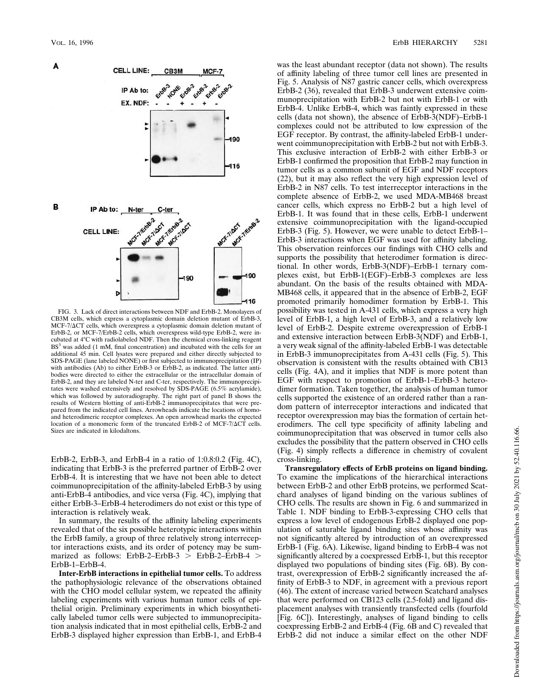

FIG. 3. Lack of direct interactions between NDF and ErbB-2. Monolayers of CB3M cells, which express a cytoplasmic domain deletion mutant of ErbB-3, MCF-7/ $\Delta$ CT cells, which overexpress a cytoplasmic domain deletion mutant of ErbB-2, or MCF-7/ErbB-2 cells, which overexpress wild-type ErbB-2, were incubated at 4°C with radiolabeled NDF. Then the chemical cross-linking reagent BS<sup>3</sup> was added (1 mM, final concentration) and incubated with the cells for an additional 45 min. Cell lysates were prepared and either directly subjected to SDS-PAGE (lane labeled NONE) or first subjected to immunoprecipitation (IP) with antibodies (Ab) to either ErbB-3 or ErbB-2, as indicated. The latter antibodies were directed to either the extracellular or the intracellular domain of ErbB-2, and they are labeled N-ter and C-ter, respectively. The immunoprecipitates were washed extensively and resolved by SDS-PAGE (6.5% acrylamide), which was followed by autoradiography. The right part of panel B shows the results of Western blotting of anti-ErbB-2 immunoprecipitates that were prepared from the indicated cell lines. Arrowheads indicate the locations of homoand heterodimeric receptor complexes. An open arrowhead marks the expected location of a monomeric form of the truncated ErbB-2 of MCF-7/ $\Delta$ CT cells. Sizes are indicated in kilodaltons.

ErbB-2, ErbB-3, and ErbB-4 in a ratio of 1:0.8:0.2 (Fig. 4C), indicating that ErbB-3 is the preferred partner of ErbB-2 over ErbB-4. It is interesting that we have not been able to detect coimmunoprecipitation of the affinity-labeled ErbB-3 by using anti-ErbB-4 antibodies, and vice versa (Fig. 4C), implying that either ErbB-3–ErbB-4 heterodimers do not exist or this type of interaction is relatively weak.

In summary, the results of the affinity labeling experiments revealed that of the six possible heterotypic interactions within the ErbB family, a group of three relatively strong interreceptor interactions exists, and its order of potency may be summarized as follows: ErbB-2–ErbB-3 > ErbB-2–ErbB-4 > ErbB-1–ErbB-4.

**Inter-ErbB interactions in epithelial tumor cells.** To address the pathophysiologic relevance of the observations obtained with the CHO model cellular system, we repeated the affinity labeling experiments with various human tumor cells of epithelial origin. Preliminary experiments in which biosynthetically labeled tumor cells were subjected to immunoprecipitation analysis indicated that in most epithelial cells, ErbB-2 and ErbB-3 displayed higher expression than ErbB-1, and ErbB-4

was the least abundant receptor (data not shown). The results of affinity labeling of three tumor cell lines are presented in Fig. 5. Analysis of N87 gastric cancer cells, which overexpress ErbB-2 (36), revealed that ErbB-3 underwent extensive coimmunoprecipitation with ErbB-2 but not with ErbB-1 or with ErbB-4. Unlike ErbB-4, which was faintly expressed in these cells (data not shown), the absence of ErbB-3(NDF)–ErbB-1 complexes could not be attributed to low expression of the EGF receptor. By contrast, the affinity-labeled ErbB-1 underwent coimmunoprecipitation with ErbB-2 but not with ErbB-3. This exclusive interaction of ErbB-2 with either ErbB-3 or ErbB-1 confirmed the proposition that ErbB-2 may function in tumor cells as a common subunit of EGF and NDF receptors (22), but it may also reflect the very high expression level of ErbB-2 in N87 cells. To test interreceptor interactions in the complete absence of ErbB-2, we used MDA-MB468 breast cancer cells, which express no ErbB-2 but a high level of ErbB-1. It was found that in these cells, ErbB-1 underwent extensive coimmunoprecipitation with the ligand-occupied ErbB-3 (Fig. 5). However, we were unable to detect ErbB-1– ErbB-3 interactions when EGF was used for affinity labeling. This observation reinforces our findings with CHO cells and supports the possibility that heterodimer formation is directional. In other words, ErbB-3(NDF)–ErbB-1 ternary complexes exist, but ErbB-1(EGF)–ErbB-3 complexes are less abundant. On the basis of the results obtained with MDA-MB468 cells, it appeared that in the absence of ErbB-2, EGF promoted primarily homodimer formation by ErbB-1. This possibility was tested in A-431 cells, which express a very high level of ErbB-1, a high level of ErbB-3, and a relatively low level of ErbB-2. Despite extreme overexpression of ErbB-1 and extensive interaction between ErbB-3(NDF) and ErbB-1, a very weak signal of the affinity-labeled ErbB-1 was detectable in ErbB-3 immunoprecipitates from A-431 cells (Fig. 5). This observation is consistent with the results obtained with CB13 cells (Fig. 4A), and it implies that NDF is more potent than EGF with respect to promotion of ErbB-1–ErbB-3 heterodimer formation. Taken together, the analysis of human tumor cells supported the existence of an ordered rather than a random pattern of interreceptor interactions and indicated that receptor overexpression may bias the formation of certain heterodimers. The cell type specificity of affinity labeling and coimmunoprecipitation that was observed in tumor cells also excludes the possibility that the pattern observed in CHO cells (Fig. 4) simply reflects a difference in chemistry of covalent cross-linking.

**Transregulatory effects of ErbB proteins on ligand binding.** To examine the implications of the hierarchical interactions between ErbB-2 and other ErbB proteins, we performed Scatchard analyses of ligand binding on the various sublines of CHO cells. The results are shown in Fig. 6 and summarized in Table 1. NDF binding to ErbB-3-expressing CHO cells that express a low level of endogenous ErbB-2 displayed one population of saturable ligand binding sites whose affinity was not significantly altered by introduction of an overexpressed ErbB-1 (Fig. 6A). Likewise, ligand binding to ErbB-4 was not significantly altered by a coexpressed ErbB-1, but this receptor displayed two populations of binding sites (Fig. 6B). By contrast, overexpression of ErbB-2 significantly increased the affinity of ErbB-3 to NDF, in agreement with a previous report (46). The extent of increase varied between Scatchard analyses that were performed on CB123 cells (2.5-fold) and ligand displacement analyses with transiently transfected cells (fourfold [Fig. 6C]). Interestingly, analyses of ligand binding to cells coexpressing ErbB-2 and ErbB-4 (Fig. 6B and C) revealed that ErbB-2 did not induce a similar effect on the other NDF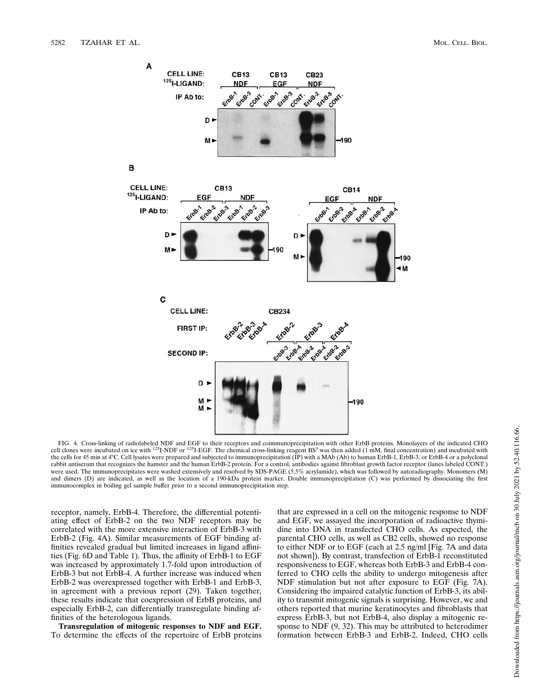

FIG. 4. Cross-linking of radiolabeled NDF and EGF to their receptors and coimmunoprecipitation with other ErbB proteins. Monolayers of the indicated CHO cell clones were incubated on ice with  $^{125}$ I-NDF or  $^{125}$ I-EGF. The chemical cross-linking reagent BS<sup>3</sup> was then added (1 mM, final concentration) and incubated with the cells for 45 min at 4°C. Cell lysates were prepared and subjected to immunoprecipitation (IP) with a MAb (Ab) to human ErbB-1, ErbB-3, or ErbB-4 or a polyclonal rabbit antiserum that recognizes the hamster and the human ErbB-2 protein. For a control, antibodies against fibroblast growth factor receptor (lanes labeled CONT.) were used. The immunoprecipitates were washed extensively and resolved by SDS-PAGE (5.5% acrylamide), which was followed by autoradiography. Monomers (M) and dimers (D) are indicated, as well as the location of a 190-kDa protein marker. Double immunoprecipitation (C) was performed by dissociating the first immunocomplex in boiling gel sample buffer prior to a second immunoprecipitation step.

receptor, namely, ErbB-4. Therefore, the differential potentiating effect of ErbB-2 on the two NDF receptors may be correlated with the more extensive interaction of ErbB-3 with ErbB-2 (Fig. 4A). Similar measurements of EGF binding affinities revealed gradual but limited increases in ligand affinities (Fig. 6D and Table 1). Thus, the affinity of ErbB-1 to EGF was increased by approximately 1.7-fold upon introduction of ErbB-3 but not ErbB-4. A further increase was induced when ErbB-2 was overexpressed together with ErbB-1 and ErbB-3, in agreement with a previous report (29). Taken together, these results indicate that coexpression of ErbB proteins, and especially ErbB-2, can differentially transregulate binding affinities of the heterologous ligands.

**Transregulation of mitogenic responses to NDF and EGF.** To determine the effects of the repertoire of ErbB proteins

that are expressed in a cell on the mitogenic response to NDF and EGF, we assayed the incorporation of radioactive thymidine into DNA in transfected CHO cells. As expected, the parental CHO cells, as well as CB2 cells, showed no response to either NDF or to EGF (each at 2.5 ng/ml [Fig. 7A and data not shown]). By contrast, transfection of ErbB-1 reconstituted responsiveness to EGF, whereas both ErbB-3 and ErbB-4 conferred to CHO cells the ability to undergo mitogenesis after NDF stimulation but not after exposure to EGF (Fig. 7A). Considering the impaired catalytic function of ErbB-3, its ability to transmit mitogenic signals is surprising. However, we and others reported that murine keratinocytes and fibroblasts that express ErbB-3, but not ErbB-4, also display a mitogenic response to NDF (9, 32). This may be attributed to heterodimer formation between ErbB-3 and ErbB-2. Indeed, CHO cells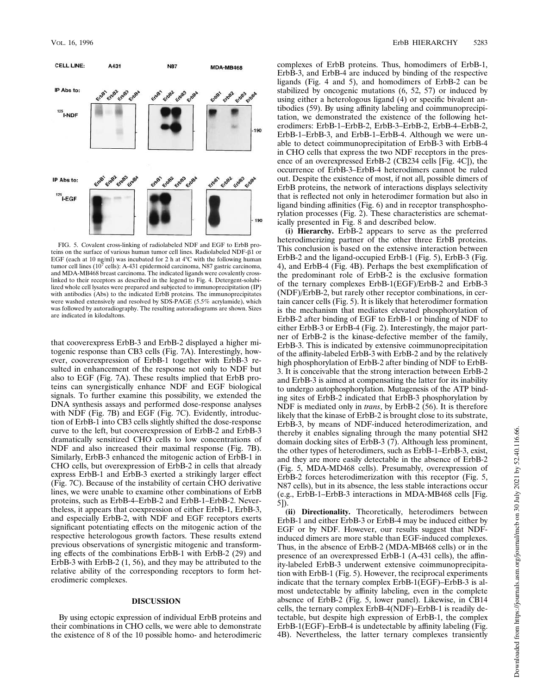

FIG. 5. Covalent cross-linking of radiolabeled NDF and EGF to ErbB proteins on the surface of various human tumor cell lines. Radiolabeled NDF- $\hat{B1}$  or EGF (each at 10 ng/ml) was incubated for 2 h at  $4^{\circ}$ C with the following human tumor cell lines ( $10^7$  cells): A-431 epidermoid carcinoma, N87 gastric carcinoma, and MDA-MB468 breast carcinoma. The indicated ligands were covalently crosslinked to their receptors as described in the legend to Fig. 4. Detergent-solubilized whole cell lysates were prepared and subjected to immunoprecipitation (IP) with antibodies (Abs) to the indicated ErbB proteins. The immunoprecipitates were washed extensively and resolved by SDS-PAGE (5.5% acrylamide), which was followed by autoradiography. The resulting autoradiograms are shown. Sizes are indicated in kilodaltons.

that cooverexpress ErbB-3 and ErbB-2 displayed a higher mitogenic response than CB3 cells (Fig. 7A). Interestingly, however, cooverexpression of ErbB-1 together with ErbB-3 resulted in enhancement of the response not only to NDF but also to EGF (Fig. 7A). These results implied that ErbB proteins can synergistically enhance NDF and EGF biological signals. To further examine this possibility, we extended the DNA synthesis assays and performed dose-response analyses with NDF (Fig. 7B) and EGF (Fig. 7C). Evidently, introduction of ErbB-1 into CB3 cells slightly shifted the dose-response curve to the left, but cooverexpression of ErbB-2 and ErbB-3 dramatically sensitized CHO cells to low concentrations of NDF and also increased their maximal response (Fig. 7B). Similarly, ErbB-3 enhanced the mitogenic action of ErbB-1 in CHO cells, but overexpression of ErbB-2 in cells that already express ErbB-1 and ErbB-3 exerted a strikingly larger effect (Fig. 7C). Because of the instability of certain CHO derivative lines, we were unable to examine other combinations of ErbB proteins, such as ErbB-4–ErbB-2 and ErbB-1–ErbB-2. Nevertheless, it appears that coexpression of either ErbB-1, ErbB-3, and especially ErbB-2, with NDF and EGF receptors exerts significant potentiating effects on the mitogenic action of the respective heterologous growth factors. These results extend previous observations of synergistic mitogenic and transforming effects of the combinations ErbB-1 with ErbB-2 (29) and ErbB-3 with ErbB-2 (1, 56), and they may be attributed to the relative ability of the corresponding receptors to form heterodimeric complexes.

## **DISCUSSION**

By using ectopic expression of individual ErbB proteins and their combinations in CHO cells, we were able to demonstrate the existence of 8 of the 10 possible homo- and heterodimeric complexes of ErbB proteins. Thus, homodimers of ErbB-1, ErbB-3, and ErbB-4 are induced by binding of the respective ligands (Fig. 4 and 5), and homodimers of ErbB-2 can be stabilized by oncogenic mutations (6, 52, 57) or induced by using either a heterologous ligand (4) or specific bivalent antibodies (59). By using affinity labeling and coimmunoprecipitation, we demonstrated the existence of the following heterodimers: ErbB-1–ErbB-2, ErbB-3–ErbB-2, ErbB-4–ErbB-2, ErbB-1–ErbB-3, and ErbB-1–ErbB-4. Although we were unable to detect coimmunoprecipitation of ErbB-3 with ErbB-4 in CHO cells that express the two NDF receptors in the presence of an overexpressed ErbB-2 (CB234 cells [Fig. 4C]), the occurrence of ErbB-3–ErbB-4 heterodimers cannot be ruled out. Despite the existence of most, if not all, possible dimers of ErbB proteins, the network of interactions displays selectivity that is reflected not only in heterodimer formation but also in ligand binding affinities (Fig. 6) and in receptor transphosphorylation processes (Fig. 2). These characteristics are schematically presented in Fig. 8 and described below.

**(i) Hierarchy.** ErbB-2 appears to serve as the preferred heterodimerizing partner of the other three ErbB proteins. This conclusion is based on the extensive interaction between ErbB-2 and the ligand-occupied ErbB-1 (Fig. 5), ErbB-3 (Fig. 4), and ErbB-4 (Fig. 4B). Perhaps the best exemplification of the predominant role of ErbB-2 is the exclusive formation of the ternary complexes ErbB-1(EGF)/ErbB-2 and ErbB-3 (NDF)/ErbB-2, but rarely other receptor combinations, in certain cancer cells (Fig. 5). It is likely that heterodimer formation is the mechanism that mediates elevated phosphorylation of ErbB-2 after binding of EGF to ErbB-1 or binding of NDF to either ErbB-3 or ErbB-4 (Fig. 2). Interestingly, the major partner of ErbB-2 is the kinase-defective member of the family, ErbB-3. This is indicated by extensive coimmunoprecipitation of the affinity-labeled ErbB-3 with ErbB-2 and by the relatively high phosphorylation of ErbB-2 after binding of NDF to ErbB-3. It is conceivable that the strong interaction between ErbB-2 and ErbB-3 is aimed at compensating the latter for its inability to undergo autophosphorylation. Mutagenesis of the ATP binding sites of ErbB-2 indicated that ErbB-3 phosphorylation by NDF is mediated only in *trans*, by ErbB-2 (56). It is therefore likely that the kinase of ErbB-2 is brought close to its substrate, ErbB-3, by means of NDF-induced heterodimerization, and thereby it enables signaling through the many potential SH2 domain docking sites of ErbB-3 (7). Although less prominent, the other types of heterodimers, such as ErbB-1–ErbB-3, exist, and they are more easily detectable in the absence of ErbB-2 (Fig. 5, MDA-MD468 cells). Presumably, overexpression of ErbB-2 forces heterodimerization with this receptor (Fig. 5, N87 cells), but in its absence, the less stable interactions occur (e.g., ErbB-1–ErbB-3 interactions in MDA-MB468 cells [Fig. 5]).

**(ii) Directionality.** Theoretically, heterodimers between ErbB-1 and either ErbB-3 or ErbB-4 may be induced either by EGF or by NDF. However, our results suggest that NDFinduced dimers are more stable than EGF-induced complexes. Thus, in the absence of ErbB-2 (MDA-MB468 cells) or in the presence of an overexpressed ErbB-1 (A-431 cells), the affinity-labeled ErbB-3 underwent extensive coimmunoprecipitation with ErbB-1 (Fig. 5). However, the reciprocal experiments indicate that the ternary complex ErbB-1(EGF)–ErbB-3 is almost undetectable by affinity labeling, even in the complete absence of ErbB-2 (Fig. 5, lower panel). Likewise, in CB14 cells, the ternary complex ErbB-4(NDF)–ErbB-1 is readily detectable, but despite high expression of ErbB-1, the complex ErbB-1(EGF)–ErbB-4 is undetectable by affinity labeling (Fig. 4B). Nevertheless, the latter ternary complexes transiently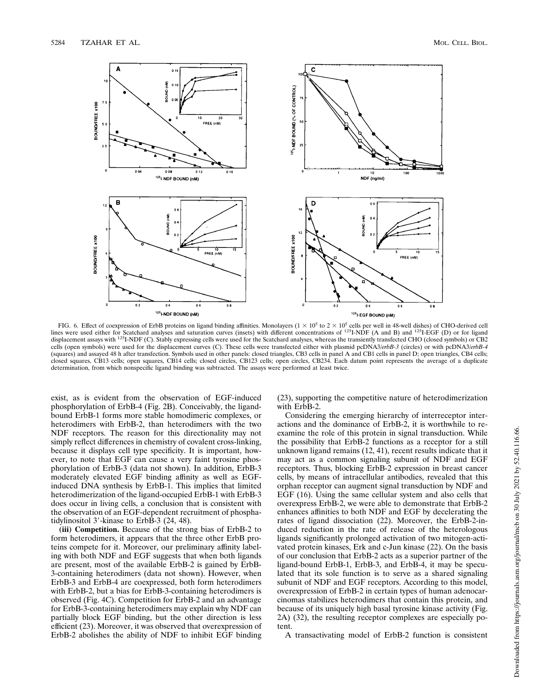

FIG. 6. Effect of coexpression of ErbB proteins on ligand binding affinities. Monolayers  $(1 \times 10^5$  to  $2 \times 10^5$  cells per well in 48-well dishes) of CHO-derived cell<br>lines were used either for Scatchard analyses and sa displacement assays with <sup>125</sup>I-NDF (C). Stably expressing cells were used for the Scatchard analyses, whereas the transiently transfected CHO (closed symbols) or CB2 cells (open symbols) were used for the displacement curves (C). These cells were transfected either with plasmid pcDNA3/*erbB-3* (circles) or with pcDNA3/*erbB-4* (squares) and assayed 48 h after transfection. Symbols used in other panels: closed triangles, CB3 cells in panel A and CB1 cells in panel D; open triangles, CB4 cells; closed squares, CB13 cells; open squares, CB14 cells; closed circles, CB123 cells; open circles, CB234. Each datum point represents the average of a duplicate determination, from which nonspecific ligand binding was subtracted. The assays were performed at least twice.

exist, as is evident from the observation of EGF-induced phosphorylation of ErbB-4 (Fig. 2B). Conceivably, the ligandbound ErbB-1 forms more stable homodimeric complexes, or heterodimers with ErbB-2, than heterodimers with the two NDF receptors. The reason for this directionality may not simply reflect differences in chemistry of covalent cross-linking, because it displays cell type specificity. It is important, however, to note that EGF can cause a very faint tyrosine phosphorylation of ErbB-3 (data not shown). In addition, ErbB-3 moderately elevated EGF binding affinity as well as EGFinduced DNA synthesis by ErbB-1. This implies that limited heterodimerization of the ligand-occupied ErbB-1 with ErbB-3 does occur in living cells, a conclusion that is consistent with the observation of an EGF-dependent recruitment of phosphatidylinositol  $3'$ -kinase to ErbB-3 (24, 48).

**(iii) Competition.** Because of the strong bias of ErbB-2 to form heterodimers, it appears that the three other ErbB proteins compete for it. Moreover, our preliminary affinity labeling with both NDF and EGF suggests that when both ligands are present, most of the available ErbB-2 is gained by ErbB-3-containing heterodimers (data not shown). However, when ErbB-3 and ErbB-4 are coexpressed, both form heterodimers with ErbB-2, but a bias for ErbB-3-containing heterodimers is observed (Fig. 4C). Competition for ErbB-2 and an advantage for ErbB-3-containing heterodimers may explain why NDF can partially block EGF binding, but the other direction is less efficient (23). Moreover, it was observed that overexpression of ErbB-2 abolishes the ability of NDF to inhibit EGF binding (23), supporting the competitive nature of heterodimerization with ErbB-2.

Considering the emerging hierarchy of interreceptor interactions and the dominance of ErbB-2, it is worthwhile to reexamine the role of this protein in signal transduction. While the possibility that ErbB-2 functions as a receptor for a still unknown ligand remains (12, 41), recent results indicate that it may act as a common signaling subunit of NDF and EGF receptors. Thus, blocking ErbB-2 expression in breast cancer cells, by means of intracellular antibodies, revealed that this orphan receptor can augment signal transduction by NDF and EGF (16). Using the same cellular system and also cells that overexpress ErbB-2, we were able to demonstrate that ErbB-2 enhances affinities to both NDF and EGF by decelerating the rates of ligand dissociation (22). Moreover, the ErbB-2-induced reduction in the rate of release of the heterologous ligands significantly prolonged activation of two mitogen-activated protein kinases, Erk and c-Jun kinase (22). On the basis of our conclusion that ErbB-2 acts as a superior partner of the ligand-bound ErbB-1, ErbB-3, and ErbB-4, it may be speculated that its sole function is to serve as a shared signaling subunit of NDF and EGF receptors. According to this model, overexpression of ErbB-2 in certain types of human adenocarcinomas stabilizes heterodimers that contain this protein, and because of its uniquely high basal tyrosine kinase activity (Fig. 2A) (32), the resulting receptor complexes are especially potent.

A transactivating model of ErbB-2 function is consistent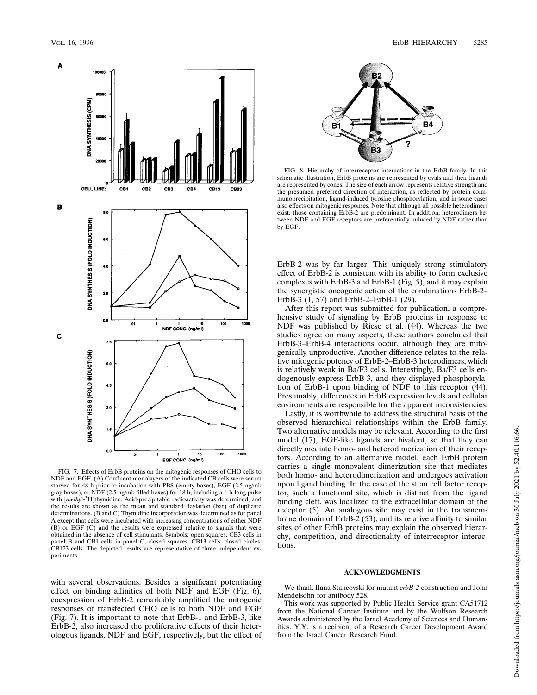

FIG. 7. Effects of ErbB proteins on the mitogenic responses of CHO cells to NDF and EGF. (A) Confluent monolayers of the indicated CB cells were serum starved for 48 h prior to incubation with PBS (empty boxes), EGF (2.5 ng/ml; gray boxes), or NDF (2.5 ng/ml; filled boxes) for 18 h, including a 4-h-long pulse with [*methy*l-3H]thymidine. Acid-precipitable radioactivity was determined, and the results are shown as the mean and standard deviation (bar) of duplicate determinations. (B and C) Thymidine incorporation was determined as for panel A except that cells were incubated with increasing concentrations of either NDF (B) or EGF (C) and the results were expressed relative to signals that were obtained in the absence of cell stimulants. Symbols: open squares, CB3 cells in panel B and CB1 cells in panel C; closed squares, CB13 cells; closed circles, CB123 cells. The depicted results are representative of three independent experiments.

**B2** R4 B **B3** 

FIG. 8. Hierarchy of interreceptor interactions in the ErbB family. In this schematic illustration, ErbB proteins are represented by ovals and their ligands are represented by cones. The size of each arrow represents relative strength and the presumed preferred direction of interaction, as reflected by protein coimmunoprecipitation, ligand-induced tyrosine phosphorylation, and in some cases also effects on mitogenic responses. Note that although all possible heterodimers exist, those containing ErbB-2 are predominant. In addition, heterodimers between NDF and EGF receptors are preferentially induced by NDF rather than by EGF.

ErbB-2 was by far larger. This uniquely strong stimulatory effect of ErbB-2 is consistent with its ability to form exclusive complexes with ErbB-3 and ErbB-1 (Fig. 5), and it may explain the synergistic oncogenic action of the combinations ErbB-2– ErbB-3 (1, 57) and ErbB-2–ErbB-1 (29).

After this report was submitted for publication, a comprehensive study of signaling by ErbB proteins in response to NDF was published by Riese et al. (44). Whereas the two studies agree on many aspects, these authors concluded that ErbB-3–ErbB-4 interactions occur, although they are mitogenically unproductive. Another difference relates to the relative mitogenic potency of ErbB-2–ErbB-3 heterodimers, which is relatively weak in Ba/F3 cells. Interestingly, Ba/F3 cells endogenously express ErbB-3, and they displayed phosphorylation of ErbB-1 upon binding of NDF to this receptor (44). Presumably, differences in ErbB expression levels and cellular environments are responsible for the apparent inconsistencies.

Lastly, it is worthwhile to address the structural basis of the observed hierarchical relationships within the ErbB family. Two alternative models may be relevant. According to the first model (17), EGF-like ligands are bivalent, so that they can directly mediate homo- and heterodimerization of their receptors. According to an alternative model, each ErbB protein carries a single monovalent dimerization site that mediates both homo- and heterodimerization and undergoes activation upon ligand binding. In the case of the stem cell factor receptor, such a functional site, which is distinct from the ligand binding cleft, was localized to the extracellular domain of the receptor (5). An analogous site may exist in the transmembrane domain of ErbB-2 (53), and its relative affinity to similar sites of other ErbB proteins may explain the observed hierarchy, competition, and directionality of interreceptor interactions.

### **ACKNOWLEDGMENTS**

with several observations. Besides a significant potentiating effect on binding affinities of both NDF and EGF (Fig. 6), coexpression of ErbB-2 remarkably amplified the mitogenic responses of transfected CHO cells to both NDF and EGF (Fig. 7). It is important to note that ErbB-1 and ErbB-3, like ErbB-2, also increased the proliferative effects of their heterologous ligands, NDF and EGF, respectively, but the effect of

We thank Ilana Stancovski for mutant *erbB-2* construction and John Mendelsohn for antibody 528.

This work was supported by Public Health Service grant CA51712 from the National Cancer Institute and by the Wolfson Research Awards administered by the Israel Academy of Sciences and Humanities. Y.Y. is a recipient of a Research Career Development Award from the Israel Cancer Research Fund.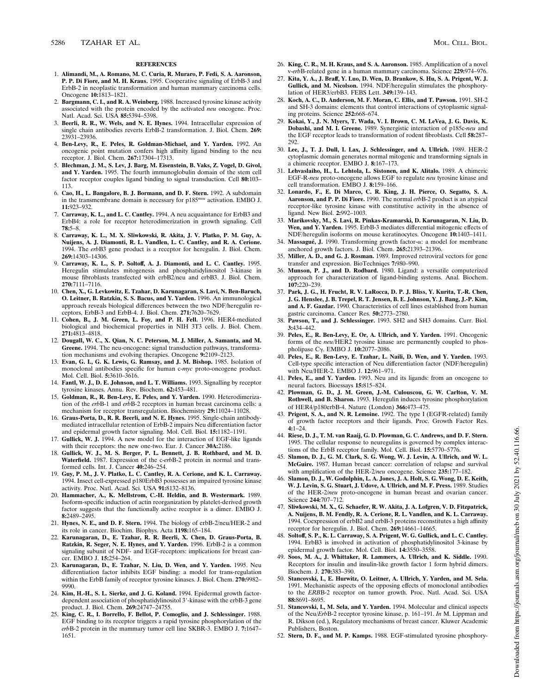#### **REFERENCES**

- 1. **Alimandi, M., A. Romano, M. C. Curia, R. Muraro, P. Fedi, S. A. Aaronson, P. P. Di Fiore, and M. H. Kraus.** 1995. Cooperative signaling of ErbB-3 and ErbB-2 in neoplastic transformation and human mammary carcinoma cells. Oncogene **10:**1813–1821.
- 2. **Bargmann, C. I., and R. A. Weinberg.** 1988. Increased tyrosine kinase activity associated with the protein encoded by the activated *neu* oncogene. Proc. Natl. Acad. Sci. USA **85:**5394–5398.
- 3. **Beerli, R. R., W. Wels, and N. E. Hynes.** 1994. Intracellular expression of single chain antibodies reverts ErbB-2 transformation. J. Biol. Chem. **269:** 23931–23936.
- 4. **Ben-Levy, R., E. Peles, R. Goldman-Michael, and Y. Yarden.** 1992. An oncogenic point mutation confers high affinity ligand binding to the neu receptor. J. Biol. Chem. **267:**17304–17313.
- 5. **Blechman, J. M., S. Lev, J. Barg, M. Eisenstein, B. Vaks, Z. Vogel, D. Givol, and Y. Yarden.** 1995. The fourth immunoglobulin domain of the stem cell factor receptor couples ligand binding to signal transduction. Cell **80:**103– 113.
- 6. **Cao, H., L. Bangalore, B. J. Bormann, and D. F. Stern.** 1992. A subdomain in the transmembrane domain is necessary for p185*neu* activation. EMBO J. **11:**923–932.
- 7. **Carraway, K. L., and L. C. Cantley.** 1994. A neu acquaintance for ErbB3 and ErbB4: a role for receptor heterodimerization in growth signaling. Cell **78:**5–8.
- 8. **Carraway, K. L., M. X. Sliwkowski, R. Akita, J. V. Platko, P. M. Guy, A. Nuijens, A. J. Diamonti, R. L. Vandlen, L. C. Cantley, and R. A. Cerione.** 1994. The *erb*B3 gene product is a receptor for heregulin. J. Biol. Chem. **269:**14303–14306.
- 9. **Carraway, K. L., S. P. Soltoff, A. J. Diamonti, and L. C. Cantley.** 1995. Heregulin stimulates mitogenesis and phosphatidylinositol 3-kinase in mouse fibroblasts transfected with erbB2/neu and erbB3. J. Biol. Chem. **270:**7111–7116.
- 10. **Chen, X., G. Levkowitz, E. Tzahar, D. Karunagaran, S. Lavi, N. Ben-Baruch, O. Leitner, B. Ratzkin, S. S. Bacus, and Y. Yarden.** 1996. An immunological approach reveals biological differences between the two NDF/heregulin receptors, ErbB-3 and ErbB-4. J. Biol. Chem. **271:**7620–7629.
- 11. **Cohen, B., J. M. Green, L. Foy, and P. H. Fell.** 1996. HER4-mediated biological and biochemical properties in NIH 3T3 cells. J. Biol. Chem. **271:**4813–4818.
- 12. **Dougall, W. C., X. Qian, N. C. Peterson, M. J. Miller, A. Samanta, and M. Greene.** 1994. The neu-oncogene: signal transduction pathways, transformation mechanisms and evolving therapies. Oncogene **9:**2109–2123.
- 13. **Evan, G. I., G. K. Lewis, G. Ramsay, and J. M. Bishop.** 1985. Isolation of monoclonal antibodies specific for human c-*myc* proto-oncogene product. Mol. Cell. Biol. **5:**3610–3616.
- 14. **Fantl, W. J., D. E. Johnson, and L. T. Williams.** 1993. Signalling by receptor tyrosine kinases. Annu. Rev. Biochem. **62:**453–481.
- 15. **Goldman, R., R. Ben-Levy, E. Peles, and Y. Yarden.** 1990. Heterodimerization of the *erb*B-1 and *erb*B-2 receptors in human breast carcinoma cells: a mechanism for receptor transregulation. Biochemistry **29:**11024–11028.
- 16. **Graus-Porta, D., R. R. Beerli, and N. E. Hynes.** 1995. Single-chain antibodymediated intracellular retention of ErbB-2 impairs Neu differentiation factor and epidermal growth factor signaling. Mol. Cell. Biol. **15:**1182–1191.
- 17. **Gullick, W. J.** 1994. A new model for the interaction of EGF-like ligands with their receptors: the new one-two. Eur. J. Cancer **30A:**2186.
- 18. **Gullick, W. J., M. S. Berger, P. L. Bennett, J. B. Rothbard, and M. D. Waterfield.** 1987. Expression of the c-*erb*B-2 protein in normal and transformed cells. Int. J. Cancer **40:**246–254.
- 19. **Guy, P. M., J. V. Platko, L. C. Cantley, R. A. Cerione, and K. L. Carraway.** 1994. Insect cell-expressed p180ErbB3 possesses an impaired tyrosine kinase activity. Proc. Natl. Acad. Sci. USA **91:**8132–8136.
- 20. **Hammacher, A., K. Mellstrom, C.-H. Heldin, and B. Westermark.** 1989. Isoform-specific induction of actin reorganization by platelet-derived growth factor suggests that the functionally active receptor is a dimer. EMBO J. **8:**2489–2495.
- 21. **Hynes, N. E., and D. F. Stern.** 1994. The biology of erbB-2/neu/HER-2 and its role in cancer. Biochim. Biophys. Acta **1198:**165–184.
- 22. **Karunagaran, D., E. Tzahar, R. R. Beerli, X. Chen, D. Graus-Porta, B. Ratzkin, R. Seger, N. E. Hynes, and Y. Yarden.** 1996. ErbB-2 is a common signaling subunit of NDF- and EGF-receptors: implications for breast cancer. EMBO J. **15:**254–264.
- 23. **Karunagaran, D., E. Tzahar, N. Liu, D. Wen, and Y. Yarden.** 1995. Neu differentiation factor inhibits EGF binding: a model for trans-regulation within the ErbB family of receptor tyrosine kinases. J. Biol. Chem. **270:**9982– 9990.
- 24. **Kim, H.-H., S. L. Sierke, and J. G. Koland.** 1994. Epidermal growth factordependent association of phosphatidylinositol 3'-kinase with the erbB-3 gene product. J. Biol. Chem. **269:**24747–24755.
- 25. **King, C. R., I. Borrello, F. Bellot, P. Comoglio, and J. Schlessinger.** 1988. EGF binding to its receptor triggers a rapid tyrosine phosphorylation of the *erb*B-2 protein in the mammary tumor cell line SKBR-3. EMBO J. **7:**1647– 1651.
- 26. **King, C. R., M. H. Kraus, and S. A. Aaronson.** 1985. Amplification of a novel v-*erb*B-related gene in a human mammary carcinoma. Science **229:**974–976.
- 27. **Kita, Y. A., J. Braff, Y. Luo, D. Wen, D. Brankow, S. Hu, S. A. Prigent, W. J. Gullick, and M. Nicolson.** 1994. NDF/heregulin stimulates the phosphorylation of HER3/erbB3. FEBS Lett. **349:**139–143.
- 28. **Koch, A. C., D. Anderson, M. F. Moran, C. Ellis, and T. Pawson.** 1991. SH-2 and SH-3 domains: elements that control interactions of cytoplasmic signaling proteins. Science **252:**668–674.
- 29. **Kokai, Y., J. N. Myers, T. Wada, V. I. Brown, C. M. LeVea, J. G. Davis, K. Dobashi, and M. I. Greene.** 1989. Synergistic interaction of p185c-*neu* and the EGF receptor leads to transformation of rodent fibroblasts. Cell **58:**287– 292.
- 30. **Lee, J., T. J. Dull, I. Lax, J. Schlessinger, and A. Ullrich.** 1989. HER-2 cytoplasmic domain generates normal mitogenic and transforming signals in a chimeric receptor. EMBO J. **8:**167–173.
- 31. **Lehvaslaiho, H., L. Lehtola, L. Sistonen, and K. Alitalo.** 1989. A chimeric EGF-R-*neu* proto-oncogene allows EGF to regulate *neu* tyrosine kinase and cell transformation. EMBO J. **8:**159–166.
- 32. **Lonardo, F., E. Di Marco, C. R. King, J. H. Pierce, O. Segatto, S. A. Aaronson, and P. P. Di Fiore.** 1990. The normal *erb*B-2 product is an atypical receptor-like tyrosine kinase with constitutive activity in the absence of ligand. New Biol. **2:**992–1003.
- 33. **Marikovsky, M., S. Lavi, R. Pinkas-Kramarski, D. Karunagaran, N. Liu, D. Wen, and Y. Yarden.** 1995. ErbB-3 mediates differential mitogenic effects of NDF/heregulin isoforms on mouse keratinocytes. Oncogene **10:**1403–1411.
- 34. Massagué, J. 1990. Transforming growth factor- $\alpha$ : a model for membrane anchored growth factors. J. Biol. Chem. **265:**21393–21396.
- 35. **Miller, A. D., and G. J. Rosman.** 1989. Improved retroviral vectors for gene transfer and expression. BioTechniqes **7:**980–990.
- 36. **Munson, P. J., and D. Rodbard.** 1980. Ligand: a versatile computerized approach for characterization of ligand-binding systems. Anal. Biochem. **107:**220–239.
- 37. **Park, J. G., H. Frucht, R. V. LaRocca, D. P. J. Bliss, Y. Kurita, T.-R. Chen, J. G. Henslee, J. B. Trepel, R. T. Jensen, B. E. Johnson, Y. J. Bang, J.-P. Kim, and A. F. Gazdar.** 1990. Characteristics of cell lines established from human gastric carcinoma. Cancer Res. **50:**2773–2780.
- 38. **Pawson, T., and J. Schlessinger.** 1993. SH2 and SH3 domains. Curr. Biol. **3:**434–442.
- 39. **Peles, E., R. Ben-Levy, E. Or, A. Ullrich, and Y. Yarden.** 1991. Oncogenic forms of the *neu*/HER2 tyrosine kinase are permanently coupled to phospholipase Cg. EMBO J. **10:**2077–2086.
- 40. **Peles, E., R. Ben-Levy, E. Tzahar, L. Naili, D. Wen, and Y. Yarden.** 1993. Cell-type specific interaction of Neu differentiation factor (NDF/heregulin) with Neu/HER-2. EMBO J. **12:**961–971.
- 41. **Peles, E., and Y. Yarden.** 1993. Neu and its ligands: from an oncogene to neural factors. Bioessays **15:**815–824.
- 42. **Plowman, G. D., J. M. Green, J.-M. Culouscou, G. W. Carlton, V. M. Rothwell, and B. Sharon.** 1993. Heregulin induces tyrosine phosphorylation of HER4/p180erbB-4. Nature (London) **366:**473–475.
- 43. **Prigent, S. A., and N. R. Lemoine.** 1992. The type I (EGFR-related) family of growth factor receptors and their ligands. Proc. Growth Factor Res. **4:**1–24.
- 44. **Riese, D. J., T. M. van Raaij, G. D. Plowman, G. C. Andrews, and D. F. Stern.** 1995. The cellular response to neuregulins is governed by complex interactions of the ErbB receptor family. Mol. Cell. Biol. **15:**5770–5776.
- 45. **Slamon, D. J., G. M. Clark, S. G. Wong, W. J. Levin, A. Ullrich, and W. L. McGuire.** 1987. Human breast cancer: correlation of relapse and survival with amplification of the HER-2/*neu* oncogene. Science **235:**177–182.
- 46. **Slamon, D. J., W. Godolphin, L. A. Jones, J. A. Holt, S. G. Wong, D. E. Keith, W. J. Levin, S. G. Stuart, J. Udove, A. Ullrich, and M. F. Press.** 1989. Studies of the HER-2/*neu* proto-oncogene in human breast and ovarian cancer. Science **244:**707–712.
- 47. **Sliwkowski, M. X., G. Schaefer, R. W. Akita, J. A. Lofgren, V. D. Fitzpatrick, A. Nuijens, B. M. Fendly, R. A. Cerione, R. L. Vandlen, and K. L. Carraway.** 1994. Coexpression of erbB2 and erbB-3 proteins reconstitutes a high affinity receptor for heregulin. J. Biol. Chem. **269:**14661–14665.
- 48. **Soltoff, S. P., K. L. Carraway, S. A. Prigent, W. G. Gullick, and L. C. Cantley.** 1994. ErbB3 is involved in activation of phosphatidylinositol 3-kinase by epidermal growth factor. Mol. Cell. Biol. **14:**3550–3558.
- 49. **Soos, M. A., J. Whittaker, R. Lammers, A. Ullrich, and K. Siddle.** 1990. Receptors for insulin and insulin-like growth factor 1 form hybrid dimers. Biochem. J. **270:**383–390.
- 50. **Stancovski, I., E. Hurwitz, O. Leitner, A. Ullrich, Y. Yarden, and M. Sela.** 1991. Mechanistic aspects of the opposing effects of monoclonal antibodies to the *ERB*B-2 receptor on tumor growth. Proc. Natl. Acad. Sci. USA **88:**8691–8695.
- 51. **Stancovski, I., M. Sela, and Y. Yarden.** 1994. Molecular and clinical aspects of the Neu/*Erb*B-2 receptor tyrosine kinase, p. 161–191. *In* M. Lippman and R. Dikson (ed.), Regulatory mechanisms of breast cancer. Kluwer Academic Publishers, Boston.
- 52. **Stern, D. F., and M. P. Kamps.** 1988. EGF-stimulated tyrosine phosphory-